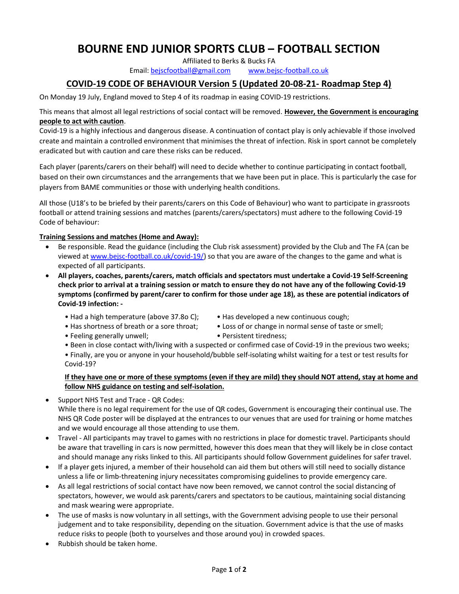# BOURNE END JUNIOR SPORTS CLUB – FOOTBALL SECTION

Affiliated to Berks & Bucks FA

Email: bejscfootball@gmail.com www.bejsc-football.co.uk

## COVID-19 CODE OF BEHAVIOUR Version 5 (Updated 20-08-21- Roadmap Step 4)

On Monday 19 July, England moved to Step 4 of its roadmap in easing COVID-19 restrictions.

This means that almost all legal restrictions of social contact will be removed. However, the Government is encouraging people to act with caution.

Covid-19 is a highly infectious and dangerous disease. A continuation of contact play is only achievable if those involved create and maintain a controlled environment that minimises the threat of infection. Risk in sport cannot be completely eradicated but with caution and care these risks can be reduced.

Each player (parents/carers on their behalf) will need to decide whether to continue participating in contact football, based on their own circumstances and the arrangements that we have been put in place. This is particularly the case for players from BAME communities or those with underlying health conditions.

All those (U18's to be briefed by their parents/carers on this Code of Behaviour) who want to participate in grassroots football or attend training sessions and matches (parents/carers/spectators) must adhere to the following Covid-19 Code of behaviour:

### Training Sessions and matches (Home and Away):

- Be responsible. Read the guidance (including the Club risk assessment) provided by the Club and The FA (can be viewed at www.bejsc-football.co.uk/covid-19/) so that you are aware of the changes to the game and what is expected of all participants.
- All players, coaches, parents/carers, match officials and spectators must undertake a Covid-19 Self-Screening check prior to arrival at a training session or match to ensure they do not have any of the following Covid-19 symptoms (confirmed by parent/carer to confirm for those under age 18), as these are potential indicators of Covid-19 infection: -
	- Had a high temperature (above 37.8o C); Has developed a new continuous cough;
		-
	- Has shortness of breath or a sore throat; Loss of or change in normal sense of taste or smell;
	- Feeling generally unwell;  $\bullet$  Persistent tiredness;
	- Been in close contact with/living with a suspected or confirmed case of Covid-19 in the previous two weeks;
	- Finally, are you or anyone in your household/bubble self-isolating whilst waiting for a test or test results for Covid-19?

### If they have one or more of these symptoms (even if they are mild) they should NOT attend, stay at home and follow NHS guidance on testing and self-isolation.

• Support NHS Test and Trace - QR Codes: While there is no legal requirement for the use of QR codes, Government is encouraging their continual use. The NHS QR Code poster will be displayed at the entrances to our venues that are used for training or home matches and we would encourage all those attending to use them.

- Travel All participants may travel to games with no restrictions in place for domestic travel. Participants should be aware that travelling in cars is now permitted, however this does mean that they will likely be in close contact and should manage any risks linked to this. All participants should follow Government guidelines for safer travel.
- If a player gets injured, a member of their household can aid them but others will still need to socially distance unless a life or limb-threatening injury necessitates compromising guidelines to provide emergency care.
- As all legal restrictions of social contact have now been removed, we cannot control the social distancing of spectators, however, we would ask parents/carers and spectators to be cautious, maintaining social distancing and mask wearing were appropriate.
- The use of masks is now voluntary in all settings, with the Government advising people to use their personal judgement and to take responsibility, depending on the situation. Government advice is that the use of masks reduce risks to people (both to yourselves and those around you) in crowded spaces.
- Rubbish should be taken home.